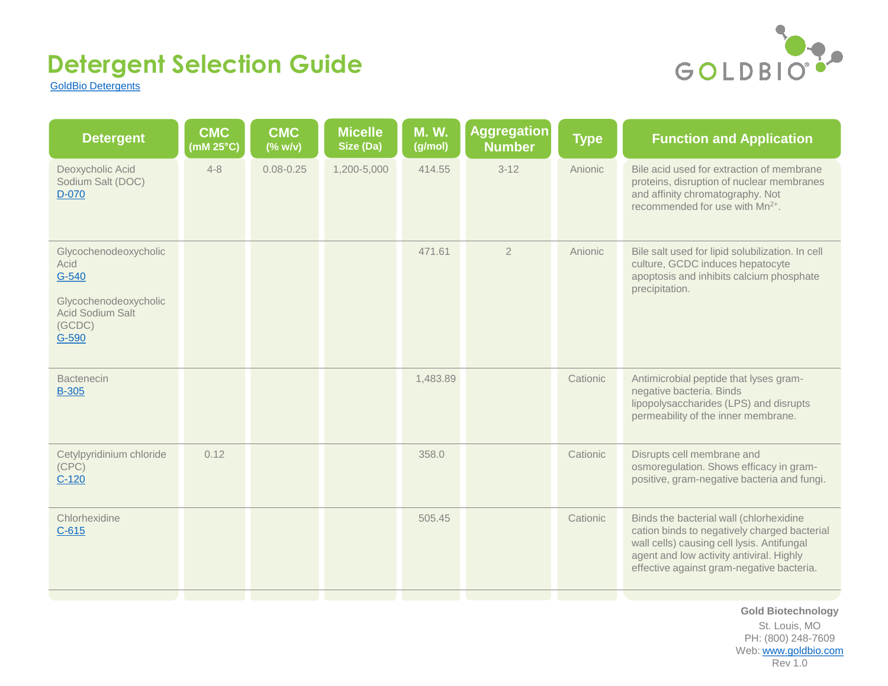

[GoldBio Detergents](https://www.goldbio.com/collection/detergents-membrane-agents)

| <b>CMC</b><br>$(mM 25^{\circ}C)$ | <b>CMC</b><br>$(% \mathbf{w}/\mathbf{v})$ | <b>Micelle</b><br>Size (Da) | <b>M.W.</b><br>(g/mol) | Aggregation<br><b>Number</b> | <b>Type</b> | <b>Function and Application</b>                                                                                                                                                                                                |
|----------------------------------|-------------------------------------------|-----------------------------|------------------------|------------------------------|-------------|--------------------------------------------------------------------------------------------------------------------------------------------------------------------------------------------------------------------------------|
| $4 - 8$                          | $0.08 - 0.25$                             | 1,200-5,000                 | 414.55                 | $3 - 12$                     | Anionic     | Bile acid used for extraction of membrane<br>proteins, disruption of nuclear membranes<br>and affinity chromatography. Not<br>recommended for use with Mn <sup>2+</sup> .                                                      |
|                                  |                                           |                             | 471.61                 | $\overline{2}$               | Anionic     | Bile salt used for lipid solubilization. In cell<br>culture, GCDC induces hepatocyte<br>apoptosis and inhibits calcium phosphate<br>precipitation.                                                                             |
|                                  |                                           |                             | 1,483.89               |                              | Cationic    | Antimicrobial peptide that lyses gram-<br>negative bacteria. Binds<br>lipopolysaccharides (LPS) and disrupts<br>permeability of the inner membrane.                                                                            |
| 0.12                             |                                           |                             | 358.0                  |                              | Cationic    | Disrupts cell membrane and<br>osmoregulation. Shows efficacy in gram-<br>positive, gram-negative bacteria and fungi.                                                                                                           |
|                                  |                                           |                             | 505.45                 |                              | Cationic    | Binds the bacterial wall (chlorhexidine<br>cation binds to negatively charged bacterial<br>wall cells) causing cell lysis. Antifungal<br>agent and low activity antiviral. Highly<br>effective against gram-negative bacteria. |
|                                  |                                           |                             |                        |                              |             |                                                                                                                                                                                                                                |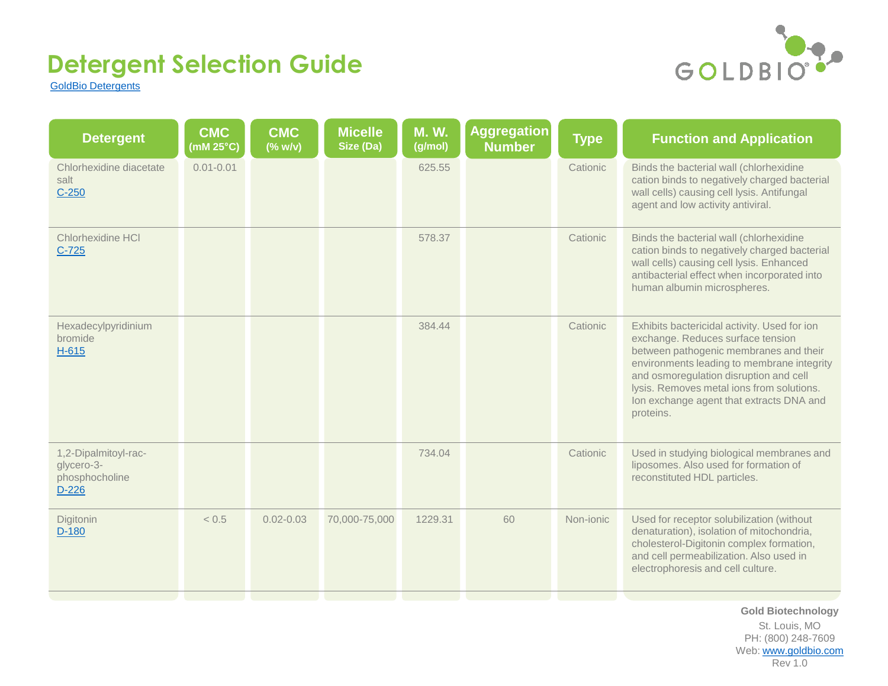

[GoldBio Detergents](https://www.goldbio.com/collection/detergents-membrane-agents)

| <b>CMC</b><br>(mM $25^{\circ}$ C) | <b>CMC</b><br>$(% \mathcal{L}(w)$ (% w/v) | <b>Micelle</b><br>Size (Da) | <b>M.W.</b><br>(g/mol) | <b>Aggregation</b><br><b>Number</b> | <b>Type</b> | <b>Function and Application</b>                                                                                                                                                                                                                                                                                           |
|-----------------------------------|-------------------------------------------|-----------------------------|------------------------|-------------------------------------|-------------|---------------------------------------------------------------------------------------------------------------------------------------------------------------------------------------------------------------------------------------------------------------------------------------------------------------------------|
| $0.01 - 0.01$                     |                                           |                             | 625.55                 |                                     | Cationic    | Binds the bacterial wall (chlorhexidine<br>cation binds to negatively charged bacterial<br>wall cells) causing cell lysis. Antifungal<br>agent and low activity antiviral.                                                                                                                                                |
|                                   |                                           |                             | 578.37                 |                                     | Cationic    | Binds the bacterial wall (chlorhexidine<br>cation binds to negatively charged bacterial<br>wall cells) causing cell lysis. Enhanced<br>antibacterial effect when incorporated into<br>human albumin microspheres.                                                                                                         |
|                                   |                                           |                             | 384.44                 |                                     | Cationic    | Exhibits bactericidal activity. Used for ion<br>exchange. Reduces surface tension<br>between pathogenic membranes and their<br>environments leading to membrane integrity<br>and osmoregulation disruption and cell<br>lysis. Removes metal ions from solutions.<br>Ion exchange agent that extracts DNA and<br>proteins. |
|                                   |                                           |                             | 734.04                 |                                     | Cationic    | Used in studying biological membranes and<br>liposomes. Also used for formation of<br>reconstituted HDL particles.                                                                                                                                                                                                        |
| < 0.5                             | $0.02 - 0.03$                             | 70,000-75,000               | 1229.31                | 60                                  | Non-ionic   | Used for receptor solubilization (without<br>denaturation), isolation of mitochondria,<br>cholesterol-Digitonin complex formation,<br>and cell permeabilization. Also used in<br>electrophoresis and cell culture.                                                                                                        |
|                                   |                                           |                             |                        |                                     |             |                                                                                                                                                                                                                                                                                                                           |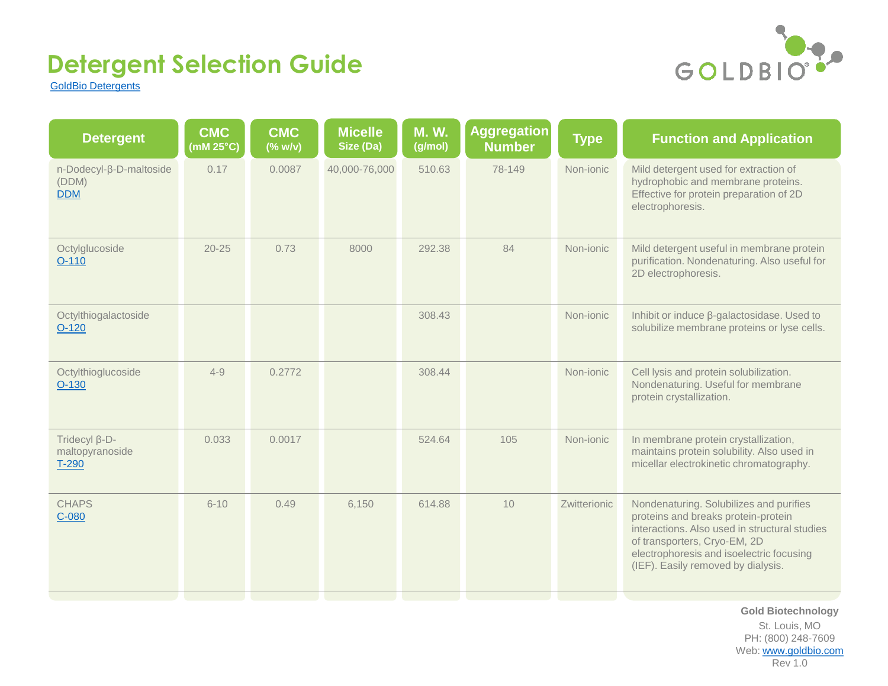

[GoldBio Detergents](https://www.goldbio.com/collection/detergents-membrane-agents)

| <b>Detergent</b>                               | <b>CMC</b><br>$(\overline{\mathsf{m}}\mathsf{M}$ 25 $^{\circ}\mathsf{C})$ | <b>CMC</b><br>$(% \mathcal{L}(w)$ (% w/v) | <b>Micelle</b><br>Size (Da) | <b>M.W.</b><br>(g/mol) | Aggregation<br><b>Number</b> | <b>Type</b>  | <b>Function and Application</b>                                                                                                                                                                                                                   |
|------------------------------------------------|---------------------------------------------------------------------------|-------------------------------------------|-----------------------------|------------------------|------------------------------|--------------|---------------------------------------------------------------------------------------------------------------------------------------------------------------------------------------------------------------------------------------------------|
| n-Dodecyl-β-D-maltoside<br>(DDM)<br><b>DDM</b> | 0.17                                                                      | 0.0087                                    | 40,000-76,000               | 510.63                 | 78-149                       | Non-ionic    | Mild detergent used for extraction of<br>hydrophobic and membrane proteins.<br>Effective for protein preparation of 2D<br>electrophoresis.                                                                                                        |
| Octylglucoside<br>$O-110$                      | $20 - 25$                                                                 | 0.73                                      | 8000                        | 292.38                 | 84                           | Non-ionic    | Mild detergent useful in membrane protein<br>purification. Nondenaturing. Also useful for<br>2D electrophoresis.                                                                                                                                  |
| Octylthiogalactoside<br>$O-120$                |                                                                           |                                           |                             | 308.43                 |                              | Non-ionic    | Inhibit or induce ß-galactosidase. Used to<br>solubilize membrane proteins or lyse cells.                                                                                                                                                         |
| Octylthioglucoside<br>$O-130$                  | $4 - 9$                                                                   | 0.2772                                    |                             | 308.44                 |                              | Non-ionic    | Cell lysis and protein solubilization.<br>Nondenaturing. Useful for membrane<br>protein crystallization.                                                                                                                                          |
| Tridecyl β-D-<br>maltopyranoside<br>T-290      | 0.033                                                                     | 0.0017                                    |                             | 524.64                 | 105                          | Non-ionic    | In membrane protein crystallization,<br>maintains protein solubility. Also used in<br>micellar electrokinetic chromatography.                                                                                                                     |
| <b>CHAPS</b><br>$C-080$                        | $6 - 10$                                                                  | 0.49                                      | 6,150                       | 614.88                 | 10                           | Zwitterionic | Nondenaturing. Solubilizes and purifies<br>proteins and breaks protein-protein<br>interactions. Also used in structural studies<br>of transporters, Cryo-EM, 2D<br>electrophoresis and isoelectric focusing<br>(IEF). Easily removed by dialysis. |